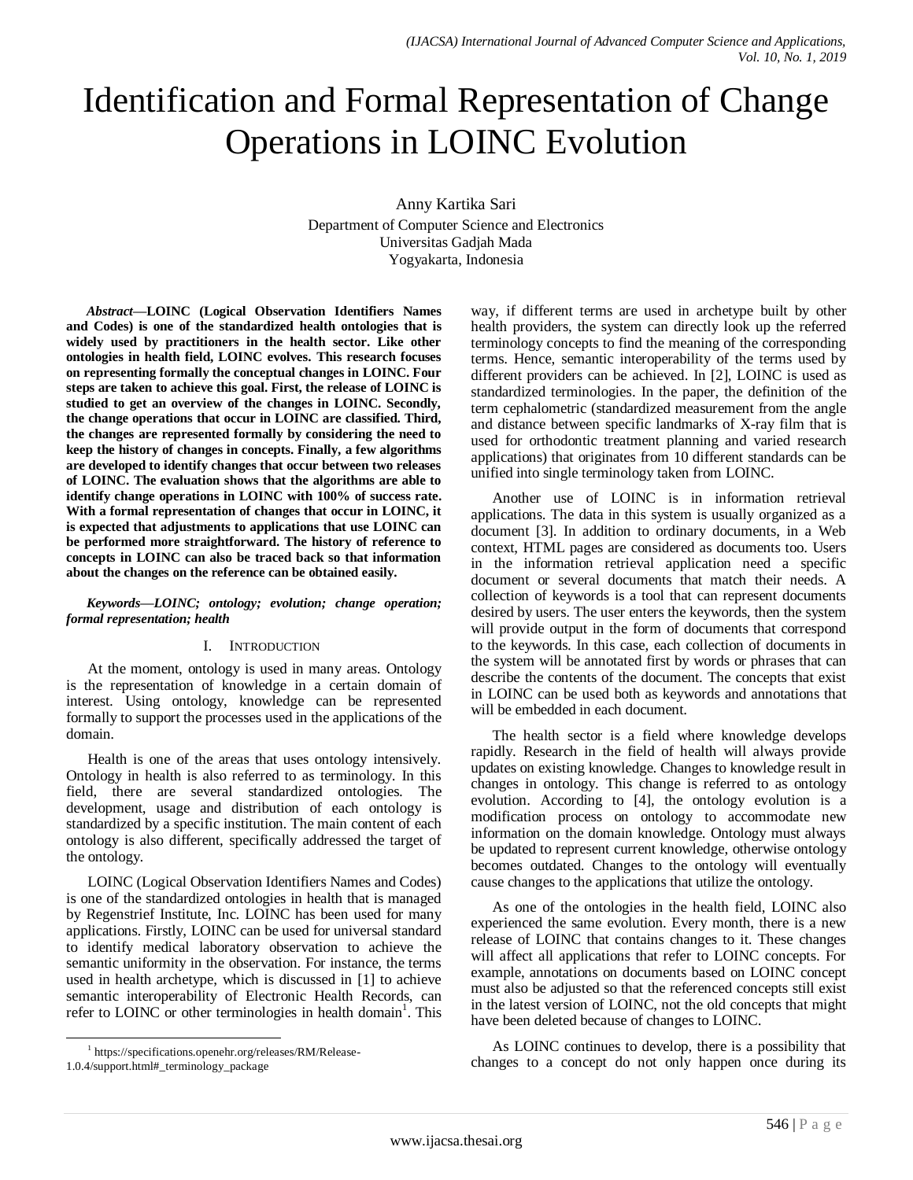# Identification and Formal Representation of Change Operations in LOINC Evolution

Anny Kartika Sari Department of Computer Science and Electronics Universitas Gadjah Mada Yogyakarta, Indonesia

*Abstract***—LOINC (Logical Observation Identifiers Names and Codes) is one of the standardized health ontologies that is widely used by practitioners in the health sector. Like other ontologies in health field, LOINC evolves. This research focuses on representing formally the conceptual changes in LOINC. Four steps are taken to achieve this goal. First, the release of LOINC is studied to get an overview of the changes in LOINC. Secondly, the change operations that occur in LOINC are classified. Third, the changes are represented formally by considering the need to keep the history of changes in concepts. Finally, a few algorithms are developed to identify changes that occur between two releases of LOINC. The evaluation shows that the algorithms are able to identify change operations in LOINC with 100% of success rate. With a formal representation of changes that occur in LOINC, it is expected that adjustments to applications that use LOINC can be performed more straightforward. The history of reference to concepts in LOINC can also be traced back so that information about the changes on the reference can be obtained easily.**

*Keywords—LOINC; ontology; evolution; change operation; formal representation; health*

#### I. INTRODUCTION

At the moment, ontology is used in many areas. Ontology is the representation of knowledge in a certain domain of interest. Using ontology, knowledge can be represented formally to support the processes used in the applications of the domain.

Health is one of the areas that uses ontology intensively. Ontology in health is also referred to as terminology. In this field, there are several standardized ontologies. The development, usage and distribution of each ontology is standardized by a specific institution. The main content of each ontology is also different, specifically addressed the target of the ontology.

LOINC (Logical Observation Identifiers Names and Codes) is one of the standardized ontologies in health that is managed by Regenstrief Institute, Inc. LOINC has been used for many applications. Firstly, LOINC can be used for universal standard to identify medical laboratory observation to achieve the semantic uniformity in the observation. For instance, the terms used in health archetype, which is discussed in [1] to achieve semantic interoperability of Electronic Health Records, can refer to LOINC or other terminologies in health domain<sup>1</sup>. This way, if different terms are used in archetype built by other health providers, the system can directly look up the referred terminology concepts to find the meaning of the corresponding terms. Hence, semantic interoperability of the terms used by different providers can be achieved. In [2], LOINC is used as standardized terminologies. In the paper, the definition of the term cephalometric (standardized measurement from the angle and distance between specific landmarks of X-ray film that is used for orthodontic treatment planning and varied research applications) that originates from 10 different standards can be unified into single terminology taken from LOINC.

Another use of LOINC is in information retrieval applications. The data in this system is usually organized as a document [3]. In addition to ordinary documents, in a Web context, HTML pages are considered as documents too. Users in the information retrieval application need a specific document or several documents that match their needs. A collection of keywords is a tool that can represent documents desired by users. The user enters the keywords, then the system will provide output in the form of documents that correspond to the keywords. In this case, each collection of documents in the system will be annotated first by words or phrases that can describe the contents of the document. The concepts that exist in LOINC can be used both as keywords and annotations that will be embedded in each document.

The health sector is a field where knowledge develops rapidly. Research in the field of health will always provide updates on existing knowledge. Changes to knowledge result in changes in ontology. This change is referred to as ontology evolution. According to [4], the ontology evolution is a modification process on ontology to accommodate new information on the domain knowledge. Ontology must always be updated to represent current knowledge, otherwise ontology becomes outdated. Changes to the ontology will eventually cause changes to the applications that utilize the ontology.

As one of the ontologies in the health field, LOINC also experienced the same evolution. Every month, there is a new release of LOINC that contains changes to it. These changes will affect all applications that refer to LOINC concepts. For example, annotations on documents based on LOINC concept must also be adjusted so that the referenced concepts still exist in the latest version of LOINC, not the old concepts that might have been deleted because of changes to LOINC.

As LOINC continues to develop, there is a possibility that changes to a concept do not only happen once during its

l 1 https://specifications.openehr.org/releases/RM/Release-1.0.4/support.html#\_terminology\_package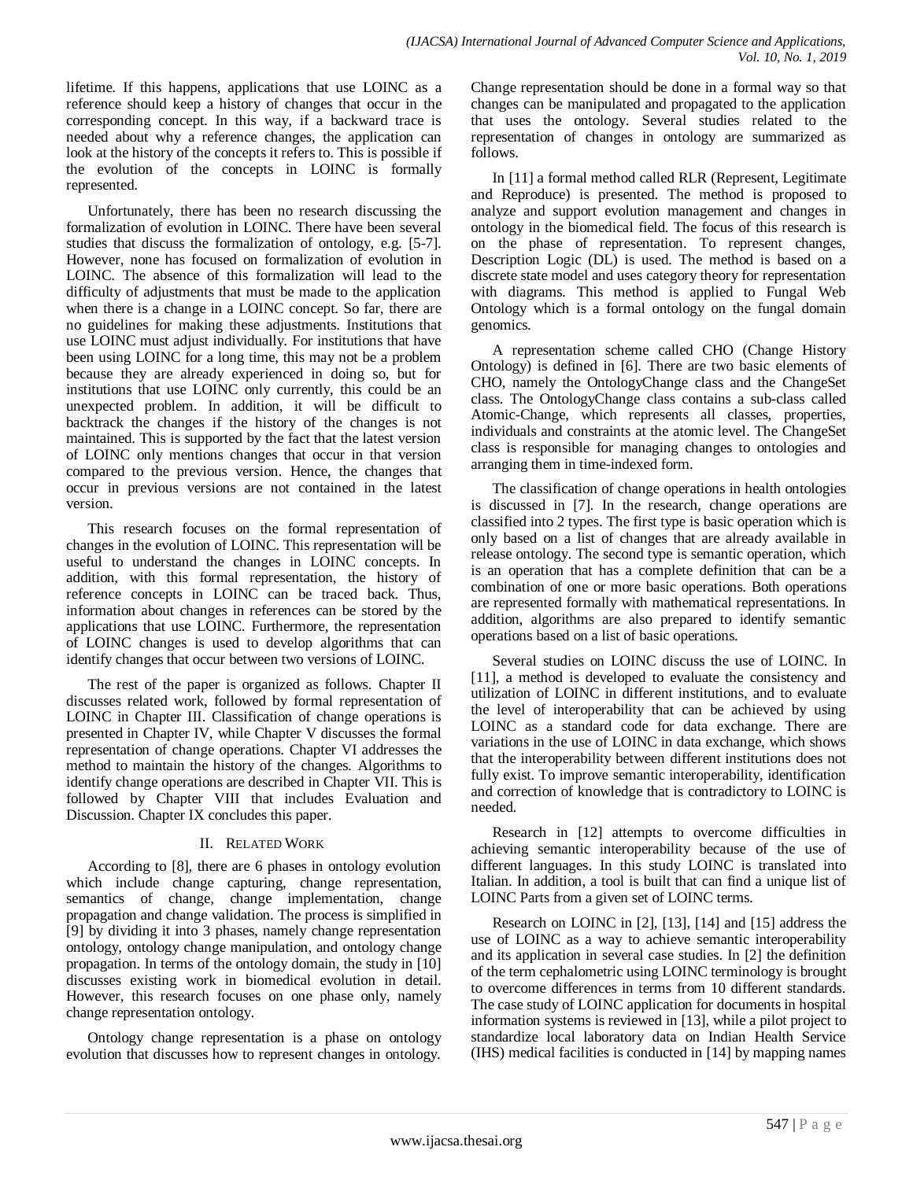lifetime. If this happens, applications that use LOINC as a reference should keep a history of changes that occur in the corresponding concept. In this way, if a backward trace is needed about why a reference changes, the application can look at the history of the concepts it refers to. This is possible if the evolution of the concepts in LOINC is formally represented.

Unfortunately, there has been no research discussing the formalization of evolution in LOINC. There have been several studies that discuss the formalization of ontology, e.g. [5-7]. However, none has focused on formalization of evolution in LOINC. The absence of this formalization will lead to the difficulty of adjustments that must be made to the application when there is a change in a LOINC concept. So far, there are no guidelines for making these adjustments. Institutions that use LOINC must adjust individually. For institutions that have been using LOINC for a long time, this may not be a problem because they are already experienced in doing so, but for institutions that use LOINC only currently, this could be an unexpected problem. In addition, it will be difficult to backtrack the changes if the history of the changes is not maintained. This is supported by the fact that the latest version of LOINC only mentions changes that occur in that version compared to the previous version. Hence, the changes that occur in previous versions are not contained in the latest version.

This research focuses on the formal representation of changes in the evolution of LOINC. This representation will be useful to understand the changes in LOINC concepts. In addition, with this formal representation, the history of reference concepts in LOINC can be traced back. Thus, information about changes in references can be stored by the applications that use LOINC. Furthermore, the representation of LOINC changes is used to develop algorithms that can identify changes that occur between two versions of LOINC.

The rest of the paper is organized as follows. Chapter II discusses related work, followed by formal representation of LOINC in Chapter III. Classification of change operations is presented in Chapter IV, while Chapter V discusses the formal representation of change operations. Chapter VI addresses the method to maintain the history of the changes. Algorithms to identify change operations are described in Chapter VII. This is followed by Chapter VIII that includes Evaluation and Discussion. Chapter IX concludes this paper.

# II. RELATED WORK

According to [8], there are 6 phases in ontology evolution which include change capturing, change representation, semantics of change, change implementation, change propagation and change validation. The process is simplified in [9] by dividing it into 3 phases, namely change representation ontology, ontology change manipulation, and ontology change propagation. In terms of the ontology domain, the study in [10] discusses existing work in biomedical evolution in detail. However, this research focuses on one phase only, namely change representation ontology.

Ontology change representation is a phase on ontology evolution that discusses how to represent changes in ontology.

Change representation should be done in a formal way so that changes can be manipulated and propagated to the application that uses the ontology. Several studies related to the representation of changes in ontology are summarized as follows.

In [11] a formal method called RLR (Represent, Legitimate and Reproduce) is presented. The method is proposed to analyze and support evolution management and changes in ontology in the biomedical field. The focus of this research is on the phase of representation. To represent changes, Description Logic (DL) is used. The method is based on a discrete state model and uses category theory for representation with diagrams. This method is applied to Fungal Web Ontology which is a formal ontology on the fungal domain genomics.

A representation scheme called CHO (Change History Ontology) is defined in [6]. There are two basic elements of CHO, namely the OntologyChange class and the ChangeSet class. The OntologyChange class contains a sub-class called Atomic-Change, which represents all classes, properties, individuals and constraints at the atomic level. The ChangeSet class is responsible for managing changes to ontologies and arranging them in time-indexed form.

The classification of change operations in health ontologies is discussed in [7]. In the research, change operations are classified into 2 types. The first type is basic operation which is only based on a list of changes that are already available in release ontology. The second type is semantic operation, which is an operation that has a complete definition that can be a combination of one or more basic operations. Both operations are represented formally with mathematical representations. In addition, algorithms are also prepared to identify semantic operations based on a list of basic operations.

Several studies on LOINC discuss the use of LOINC. In [11], a method is developed to evaluate the consistency and utilization of LOINC in different institutions, and to evaluate the level of interoperability that can be achieved by using LOINC as a standard code for data exchange. There are variations in the use of LOINC in data exchange, which shows that the interoperability between different institutions does not fully exist. To improve semantic interoperability, identification and correction of knowledge that is contradictory to LOINC is needed.

Research in [12] attempts to overcome difficulties in achieving semantic interoperability because of the use of different languages. In this study LOINC is translated into Italian. In addition, a tool is built that can find a unique list of LOINC Parts from a given set of LOINC terms.

Research on LOINC in [2], [13], [14] and [15] address the use of LOINC as a way to achieve semantic interoperability and its application in several case studies. In [2] the definition of the term cephalometric using LOINC terminology is brought to overcome differences in terms from 10 different standards. The case study of LOINC application for documents in hospital information systems is reviewed in [13], while a pilot project to standardize local laboratory data on Indian Health Service (IHS) medical facilities is conducted in [14] by mapping names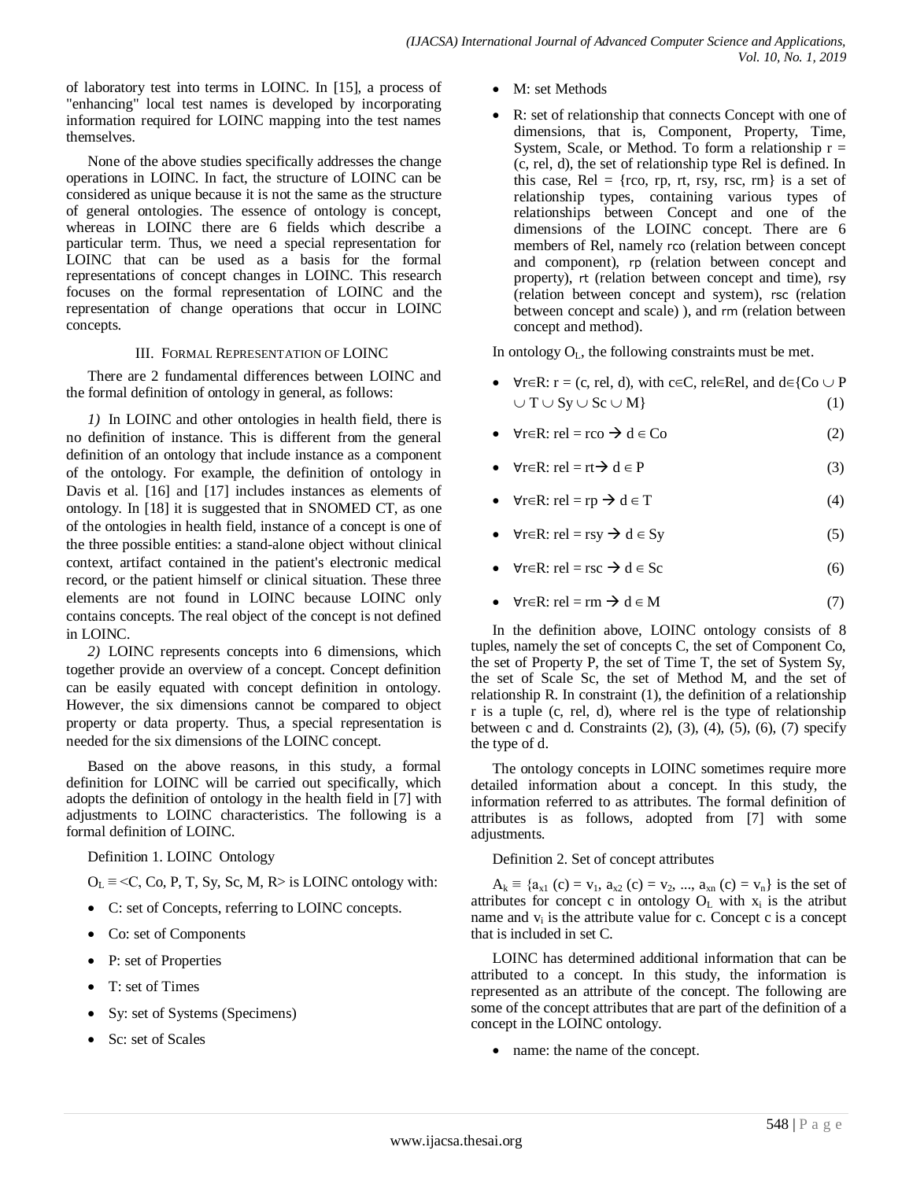of laboratory test into terms in LOINC. In [15], a process of "enhancing" local test names is developed by incorporating information required for LOINC mapping into the test names themselves.

None of the above studies specifically addresses the change operations in LOINC. In fact, the structure of LOINC can be considered as unique because it is not the same as the structure of general ontologies. The essence of ontology is concept, whereas in LOINC there are 6 fields which describe a particular term. Thus, we need a special representation for LOINC that can be used as a basis for the formal representations of concept changes in LOINC. This research focuses on the formal representation of LOINC and the representation of change operations that occur in LOINC concepts.

#### III. FORMAL REPRESENTATION OF LOINC

There are 2 fundamental differences between LOINC and the formal definition of ontology in general, as follows:

*1)* In LOINC and other ontologies in health field, there is no definition of instance. This is different from the general definition of an ontology that include instance as a component of the ontology. For example, the definition of ontology in Davis et al. [16] and [17] includes instances as elements of ontology. In [18] it is suggested that in SNOMED CT, as one of the ontologies in health field, instance of a concept is one of the three possible entities: a stand-alone object without clinical context, artifact contained in the patient's electronic medical record, or the patient himself or clinical situation. These three elements are not found in LOINC because LOINC only contains concepts. The real object of the concept is not defined in LOINC.

*2)* LOINC represents concepts into 6 dimensions, which together provide an overview of a concept. Concept definition can be easily equated with concept definition in ontology. However, the six dimensions cannot be compared to object property or data property. Thus, a special representation is needed for the six dimensions of the LOINC concept.

Based on the above reasons, in this study, a formal definition for LOINC will be carried out specifically, which adopts the definition of ontology in the health field in [7] with adjustments to LOINC characteristics. The following is a formal definition of LOINC.

Definition 1. LOINC Ontology

 $O_L \equiv \langle C, Co, P, T, Sy, Sc, M, R \rangle$  is LOINC ontology with:

- C: set of Concepts, referring to LOINC concepts.
- Co: set of Components
- P: set of Properties
- T: set of Times
- Sy: set of Systems (Specimens)
- Sc: set of Scales
- M: set Methods
- R: set of relationship that connects Concept with one of dimensions, that is, Component, Property, Time, System, Scale, or Method. To form a relationship  $r =$ (c, rel, d), the set of relationship type Rel is defined. In this case, Rel =  ${r, r, r, rsy, rsc, rm}$  is a set of relationship types, containing various types of relationships between Concept and one of the dimensions of the LOINC concept. There are 6 members of Rel, namely rco (relation between concept and component), rp (relation between concept and property), rt (relation between concept and time), rsy (relation between concept and system), rsc (relation between concept and scale) ), and rm (relation between concept and method).

In ontology  $O<sub>L</sub>$ , the following constraints must be met.

- $\forall r \in \mathbb{R} : r = (c, rel, d)$ , with c∈C, rel∈Rel, and d∈{Co  $\cup$  P  $\cup T \cup Sy \cup Sc \cup M$  (1)
- $\forall r \in \mathbb{R} : rel = rco \rightarrow d \in Co$  (2)
- $\forall r \in \mathbb{R} : rel = rt \rightarrow d \in \mathbb{P}$  (3)
- $\forall r \in \mathbb{R} : rel = rp \rightarrow d \in \mathbb{T}$  (4)
- $\forall r \in \mathbb{R} : rel = rsy \rightarrow d \in Sy$  (5)
- $\forall r \in \mathbb{R} : rel = rsc \rightarrow d \in Sc$  (6)
- $\forall$ r∈R: rel = rm  $\rightarrow$  d ∈ M (7)

In the definition above, LOINC ontology consists of 8 tuples, namely the set of concepts C, the set of Component Co, the set of Property P, the set of Time T, the set of System Sy, the set of Scale Sc, the set of Method M, and the set of relationship R. In constraint (1), the definition of a relationship r is a tuple (c, rel, d), where rel is the type of relationship between  $\overline{c}$  and d. Constraints (2), (3), (4), (5), (6), (7) specify the type of d.

The ontology concepts in LOINC sometimes require more detailed information about a concept. In this study, the information referred to as attributes. The formal definition of attributes is as follows, adopted from [7] with some adjustments.

#### Definition 2. Set of concept attributes

 $A_k \equiv \{a_{x1} (c) = v_1, a_{x2} (c) = v_2, ..., a_{xn} (c) = v_n\}$  is the set of attributes for concept c in ontology  $O_L$  with  $x_i$  is the atribut name and  $v_i$  is the attribute value for c. Concept c is a concept that is included in set C.

LOINC has determined additional information that can be attributed to a concept. In this study, the information is represented as an attribute of the concept. The following are some of the concept attributes that are part of the definition of a concept in the LOINC ontology.

name: the name of the concept.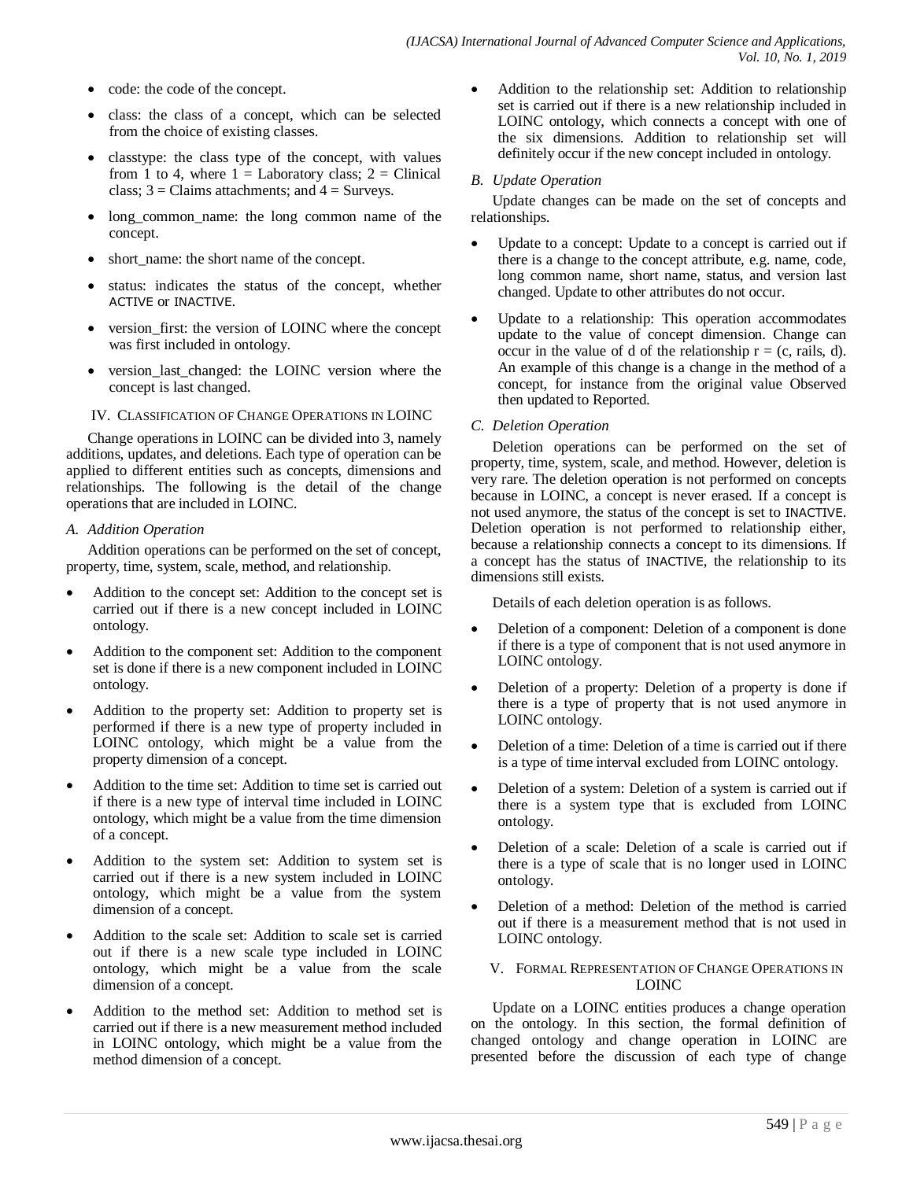- code: the code of the concept.
- class: the class of a concept, which can be selected from the choice of existing classes.
- classtype: the class type of the concept, with values from 1 to 4, where  $1 =$  Laboratory class;  $2 =$  Clinical class;  $3 =$ Claims attachments; and  $4 =$  Surveys.
- long common name: the long common name of the concept.
- short name: the short name of the concept.
- status: indicates the status of the concept, whether ACTIVE or INACTIVE.
- version\_first: the version of LOINC where the concept was first included in ontology.
- version\_last\_changed: the LOINC version where the concept is last changed.

#### IV. CLASSIFICATION OF CHANGE OPERATIONS IN LOINC

Change operations in LOINC can be divided into 3, namely additions, updates, and deletions. Each type of operation can be applied to different entities such as concepts, dimensions and relationships. The following is the detail of the change operations that are included in LOINC.

#### *A. Addition Operation*

Addition operations can be performed on the set of concept, property, time, system, scale, method, and relationship.

- Addition to the concept set: Addition to the concept set is carried out if there is a new concept included in LOINC ontology.
- Addition to the component set: Addition to the component set is done if there is a new component included in LOINC ontology.
- Addition to the property set: Addition to property set is performed if there is a new type of property included in LOINC ontology, which might be a value from the property dimension of a concept.
- Addition to the time set: Addition to time set is carried out if there is a new type of interval time included in LOINC ontology, which might be a value from the time dimension of a concept.
- Addition to the system set: Addition to system set is carried out if there is a new system included in LOINC ontology, which might be a value from the system dimension of a concept.
- Addition to the scale set: Addition to scale set is carried out if there is a new scale type included in LOINC ontology, which might be a value from the scale dimension of a concept.
- Addition to the method set: Addition to method set is carried out if there is a new measurement method included in LOINC ontology, which might be a value from the method dimension of a concept.

 Addition to the relationship set: Addition to relationship set is carried out if there is a new relationship included in LOINC ontology, which connects a concept with one of the six dimensions. Addition to relationship set will definitely occur if the new concept included in ontology.

#### *B. Update Operation*

Update changes can be made on the set of concepts and relationships.

- Update to a concept: Update to a concept is carried out if there is a change to the concept attribute, e.g. name, code, long common name, short name, status, and version last changed. Update to other attributes do not occur.
- Update to a relationship: This operation accommodates update to the value of concept dimension. Change can occur in the value of d of the relationship  $r = (c, \text{ rails}, d)$ . An example of this change is a change in the method of a concept, for instance from the original value Observed then updated to Reported.

#### *C. Deletion Operation*

Deletion operations can be performed on the set of property, time, system, scale, and method. However, deletion is very rare. The deletion operation is not performed on concepts because in LOINC, a concept is never erased. If a concept is not used anymore, the status of the concept is set to INACTIVE. Deletion operation is not performed to relationship either, because a relationship connects a concept to its dimensions. If a concept has the status of INACTIVE, the relationship to its dimensions still exists.

Details of each deletion operation is as follows.

- Deletion of a component: Deletion of a component is done if there is a type of component that is not used anymore in LOINC ontology.
- Deletion of a property: Deletion of a property is done if there is a type of property that is not used anymore in LOINC ontology.
- Deletion of a time: Deletion of a time is carried out if there is a type of time interval excluded from LOINC ontology.
- Deletion of a system: Deletion of a system is carried out if there is a system type that is excluded from LOINC ontology.
- Deletion of a scale: Deletion of a scale is carried out if there is a type of scale that is no longer used in LOINC ontology.
- Deletion of a method: Deletion of the method is carried out if there is a measurement method that is not used in LOINC ontology.

#### V. FORMAL REPRESENTATION OF CHANGE OPERATIONS IN LOINC

Update on a LOINC entities produces a change operation on the ontology. In this section, the formal definition of changed ontology and change operation in LOINC are presented before the discussion of each type of change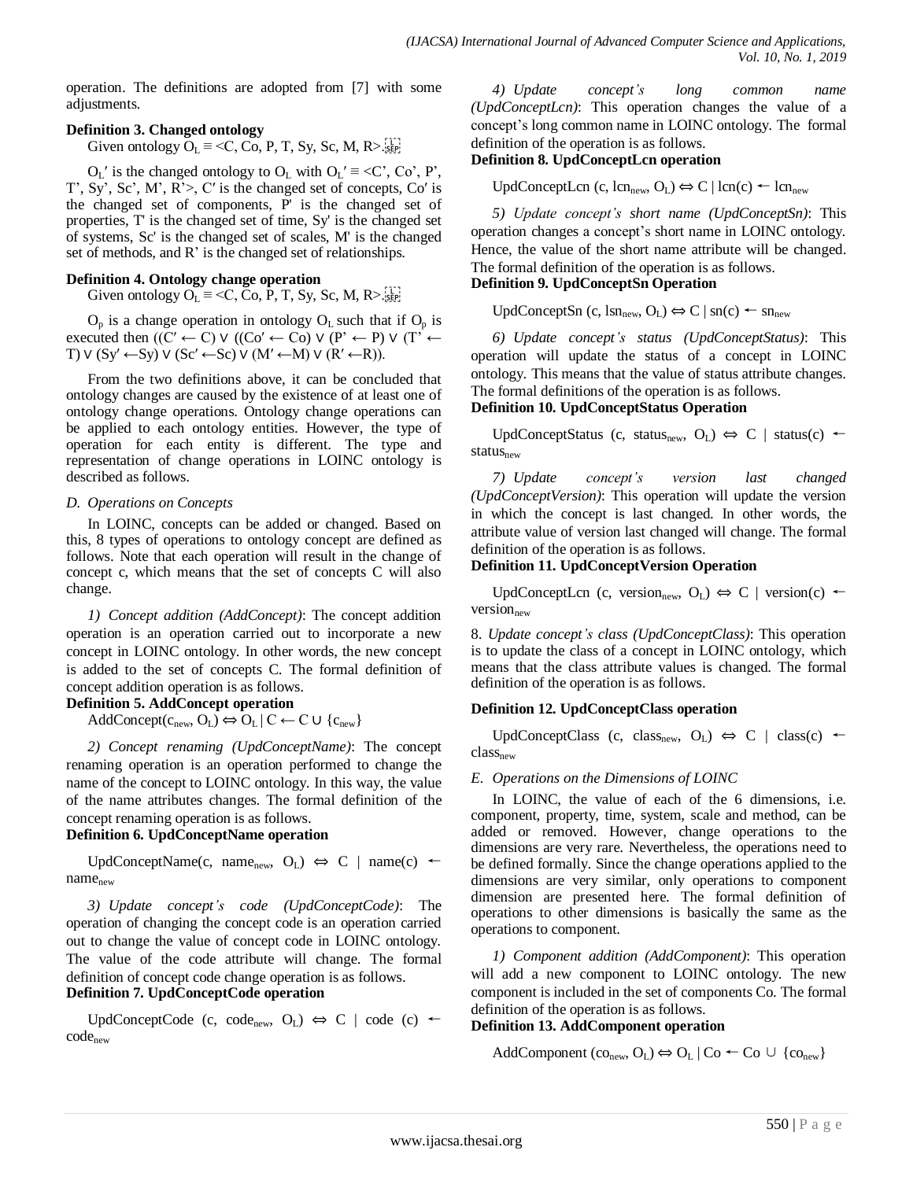operation. The definitions are adopted from [7] with some adjustments.

# **Definition 3. Changed ontology**

Given ontology  $O_L \equiv \langle C, C_0, P, T, Sy, Sc, M, R \rangle$ .

 $O_L'$  is the changed ontology to  $O_L$  with  $O_L' \equiv \langle C', C_0', P',$ T', Sy', Sc', M', R'>, C′ is the changed set of concepts, Co′ is the changed set of components, P' is the changed set of properties, T' is the changed set of time, Sy' is the changed set of systems, Sc' is the changed set of scales, M' is the changed set of methods, and R' is the changed set of relationships.

# **Definition 4. Ontology change operation**

Given ontology  $O_L \equiv \langle C, C_0, P, T, Sy, Sc, M, R \rangle$ .

 $O_p$  is a change operation in ontology  $O_L$  such that if  $O_p$  is executed then  $((C' \leftarrow C) \vee ((C_0' \leftarrow C_0) \vee (P' \leftarrow P) \vee (T' \leftarrow P))$ T)  $V$  (Sy' ←Sy)  $V$  (Sc' ←Sc)  $V$  (M' ←M)  $V$  (R' ←R)).

From the two definitions above, it can be concluded that ontology changes are caused by the existence of at least one of ontology change operations. Ontology change operations can be applied to each ontology entities. However, the type of operation for each entity is different. The type and representation of change operations in LOINC ontology is described as follows.

#### *D. Operations on Concepts*

In LOINC, concepts can be added or changed. Based on this, 8 types of operations to ontology concept are defined as follows. Note that each operation will result in the change of concept c, which means that the set of concepts C will also change.

*1) Concept addition (AddConcept)*: The concept addition operation is an operation carried out to incorporate a new concept in LOINC ontology. In other words, the new concept is added to the set of concepts C. The formal definition of concept addition operation is as follows.

#### **Definition 5. AddConcept operation**

AddConcept( $c_{\text{new}}, O_{L}$ )  $\Leftrightarrow$   $O_{L}$  |  $C \leftarrow C \cup \{c_{\text{new}}\}$ 

*2) Concept renaming (UpdConceptName)*: The concept renaming operation is an operation performed to change the name of the concept to LOINC ontology. In this way, the value of the name attributes changes. The formal definition of the concept renaming operation is as follows.

# **Definition 6. UpdConceptName operation**

UpdConceptName(c, name<sub>new</sub>, O<sub>L</sub>)  $\Leftrightarrow$  C | name(c) ← name<sub>new</sub>

*3) Update concept's code (UpdConceptCode)*: The operation of changing the concept code is an operation carried out to change the value of concept code in LOINC ontology. The value of the code attribute will change. The formal definition of concept code change operation is as follows. **Definition 7. UpdConceptCode operation**

UpdConceptCode (c, code<sub>new</sub>, O<sub>L</sub>)  $\Leftrightarrow$  C | code (c) ← codenew

*4) Update concept's long common name (UpdConceptLcn)*: This operation changes the value of a concept's long common name in LOINC ontology. The formal definition of the operation is as follows.

# **Definition 8. UpdConceptLcn operation**

UpdConceptLcn (c, lcn<sub>new</sub>, O<sub>L</sub>)  $\Leftrightarrow$  C | lcn(c) ← lcn<sub>new</sub>

*5) Update concept's short name (UpdConceptSn)*: This operation changes a concept's short name in LOINC ontology. Hence, the value of the short name attribute will be changed. The formal definition of the operation is as follows. **Definition 9. UpdConceptSn Operation**

UpdConceptSn (c, lsn<sub>new</sub>, O<sub>L</sub>)  $\Leftrightarrow$  C | sn(c) ← sn<sub>new</sub>

*6) Update concept's status (UpdConceptStatus)*: This operation will update the status of a concept in LOINC ontology. This means that the value of status attribute changes. The formal definitions of the operation is as follows. **Definition 10. UpdConceptStatus Operation**

#### UpdConceptStatus (c, status<sub>new</sub>, O<sub>L</sub>)  $\Leftrightarrow$  C | status(c) ← status<sub>new</sub>

*7) Update concept's version last changed (UpdConceptVersion)*: This operation will update the version in which the concept is last changed. In other words, the attribute value of version last changed will change. The formal definition of the operation is as follows.

#### **Definition 11. UpdConceptVersion Operation**

UpdConceptLcn (c, version<sub>new</sub>, O<sub>L</sub>)  $\Leftrightarrow$  C | version(c) ← version $_{\text{new}}$ 

8. *Update concept's class (UpdConceptClass)*: This operation is to update the class of a concept in LOINC ontology, which means that the class attribute values is changed. The formal definition of the operation is as follows.

# **Definition 12. UpdConceptClass operation**

UpdConceptClass (c, class<sub>new</sub>, O<sub>L</sub>)  $\Leftrightarrow$  C | class(c) ← class<sub>new</sub>

# *E. Operations on the Dimensions of LOINC*

In LOINC, the value of each of the 6 dimensions, i.e. component, property, time, system, scale and method, can be added or removed. However, change operations to the dimensions are very rare. Nevertheless, the operations need to be defined formally. Since the change operations applied to the dimensions are very similar, only operations to component dimension are presented here. The formal definition of operations to other dimensions is basically the same as the operations to component.

*1) Component addition (AddComponent)*: This operation will add a new component to LOINC ontology. The new component is included in the set of components Co. The formal definition of the operation is as follows.

#### **Definition 13. AddComponent operation**

AddComponent  $(co_{new}, O_L) \Leftrightarrow O_L | Co \leftarrow Co \cup \{co_{new}\}$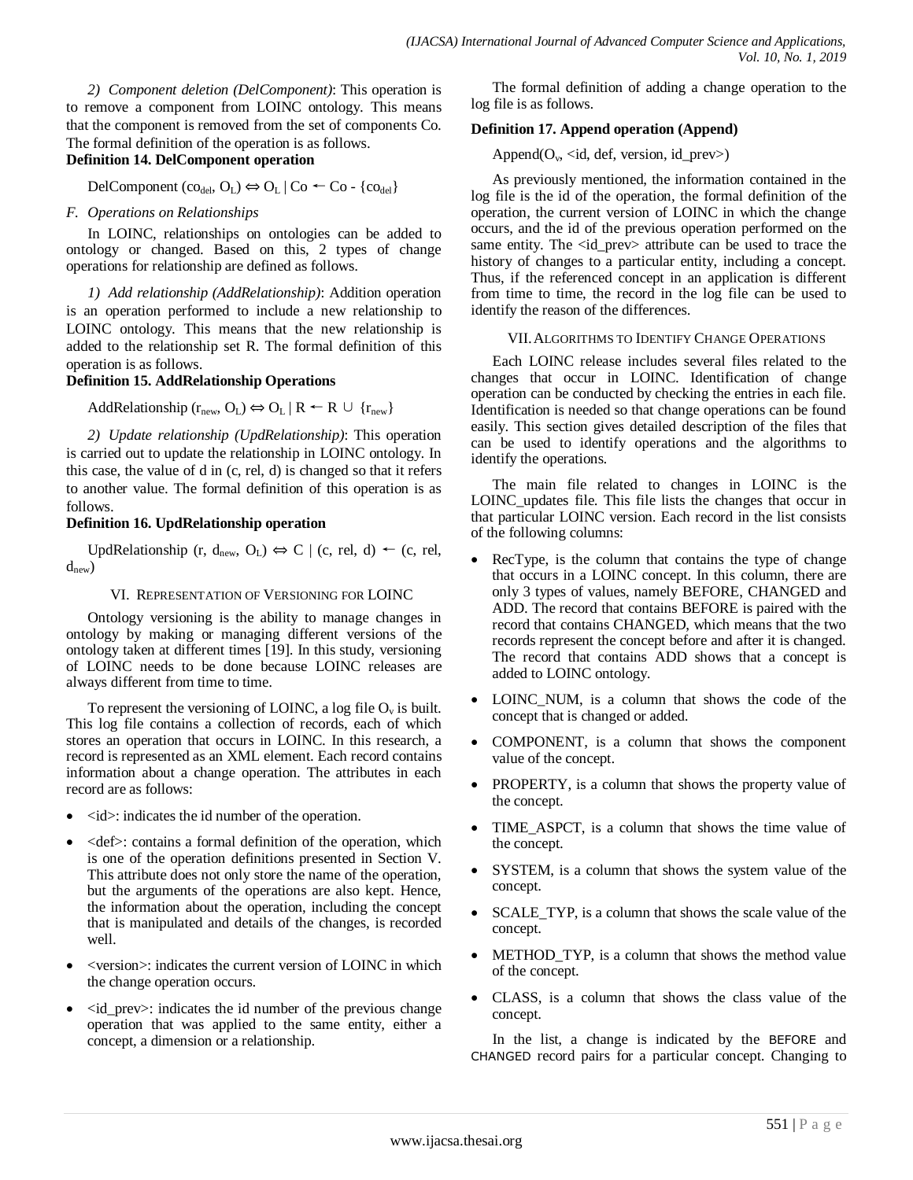*2) Component deletion (DelComponent)*: This operation is to remove a component from LOINC ontology. This means that the component is removed from the set of components Co. The formal definition of the operation is as follows. **Definition 14. DelComponent operation**

#### DelComponent (co<sub>del</sub>, O<sub>L</sub>)  $\Leftrightarrow$  O<sub>L</sub> | Co ← Co - {co<sub>del</sub>}

#### *F. Operations on Relationships*

In LOINC, relationships on ontologies can be added to ontology or changed. Based on this, 2 types of change operations for relationship are defined as follows.

*1) Add relationship (AddRelationship)*: Addition operation is an operation performed to include a new relationship to LOINC ontology. This means that the new relationship is added to the relationship set R. The formal definition of this operation is as follows.

#### **Definition 15. AddRelationship Operations**

AddRelationship ( $r_{\text{new}}$ ,  $O_L$ )  $\Leftrightarrow$   $O_L$  | R  $\leftarrow$  R  $\cup$  { $r_{\text{new}}$ }

*2) Update relationship (UpdRelationship)*: This operation is carried out to update the relationship in LOINC ontology. In this case, the value of d in (c, rel, d) is changed so that it refers to another value. The formal definition of this operation is as follows.

#### **Definition 16. UpdRelationship operation**

UpdRelationship (r, d<sub>new</sub>, O<sub>L</sub>)  $\Leftrightarrow$  C | (c, rel, d)  $\leftarrow$  (c, rel,  $d_{\text{new}}$ )

#### VI. REPRESENTATION OF VERSIONING FOR LOINC

Ontology versioning is the ability to manage changes in ontology by making or managing different versions of the ontology taken at different times [19]. In this study, versioning of LOINC needs to be done because LOINC releases are always different from time to time.

To represent the versioning of LOINC, a log file  $O_v$  is built. This log file contains a collection of records, each of which stores an operation that occurs in LOINC. In this research, a record is represented as an XML element. Each record contains information about a change operation. The attributes in each record are as follows:

- $\langle \text{id}\rangle$ : indicates the id number of the operation.
- $\bullet \quad \text{def}$ : contains a formal definition of the operation, which is one of the operation definitions presented in Section V. This attribute does not only store the name of the operation, but the arguments of the operations are also kept. Hence, the information about the operation, including the concept that is manipulated and details of the changes, is recorded well.
- <version>: indicates the current version of LOINC in which the change operation occurs.
- <id\_prev>: indicates the id number of the previous change operation that was applied to the same entity, either a concept, a dimension or a relationship.

The formal definition of adding a change operation to the log file is as follows.

#### **Definition 17. Append operation (Append)**

Append( $O_v$ , <id, def, version, id\_prev>)

As previously mentioned, the information contained in the log file is the id of the operation, the formal definition of the operation, the current version of LOINC in which the change occurs, and the id of the previous operation performed on the same entity. The <id\_prev> attribute can be used to trace the history of changes to a particular entity, including a concept. Thus, if the referenced concept in an application is different from time to time, the record in the log file can be used to identify the reason of the differences.

#### VII.ALGORITHMS TO IDENTIFY CHANGE OPERATIONS

Each LOINC release includes several files related to the changes that occur in LOINC. Identification of change operation can be conducted by checking the entries in each file. Identification is needed so that change operations can be found easily. This section gives detailed description of the files that can be used to identify operations and the algorithms to identify the operations.

The main file related to changes in LOINC is the LOINC\_updates file. This file lists the changes that occur in that particular LOINC version. Each record in the list consists of the following columns:

- RecType, is the column that contains the type of change that occurs in a LOINC concept. In this column, there are only 3 types of values, namely BEFORE, CHANGED and ADD. The record that contains BEFORE is paired with the record that contains CHANGED, which means that the two records represent the concept before and after it is changed. The record that contains ADD shows that a concept is added to LOINC ontology.
- LOINC\_NUM, is a column that shows the code of the concept that is changed or added.
- COMPONENT, is a column that shows the component value of the concept.
- PROPERTY, is a column that shows the property value of the concept.
- TIME\_ASPCT, is a column that shows the time value of the concept.
- SYSTEM, is a column that shows the system value of the concept.
- SCALE TYP, is a column that shows the scale value of the concept.
- METHOD TYP, is a column that shows the method value of the concept.
- CLASS, is a column that shows the class value of the concept.

In the list, a change is indicated by the BEFORE and CHANGED record pairs for a particular concept. Changing to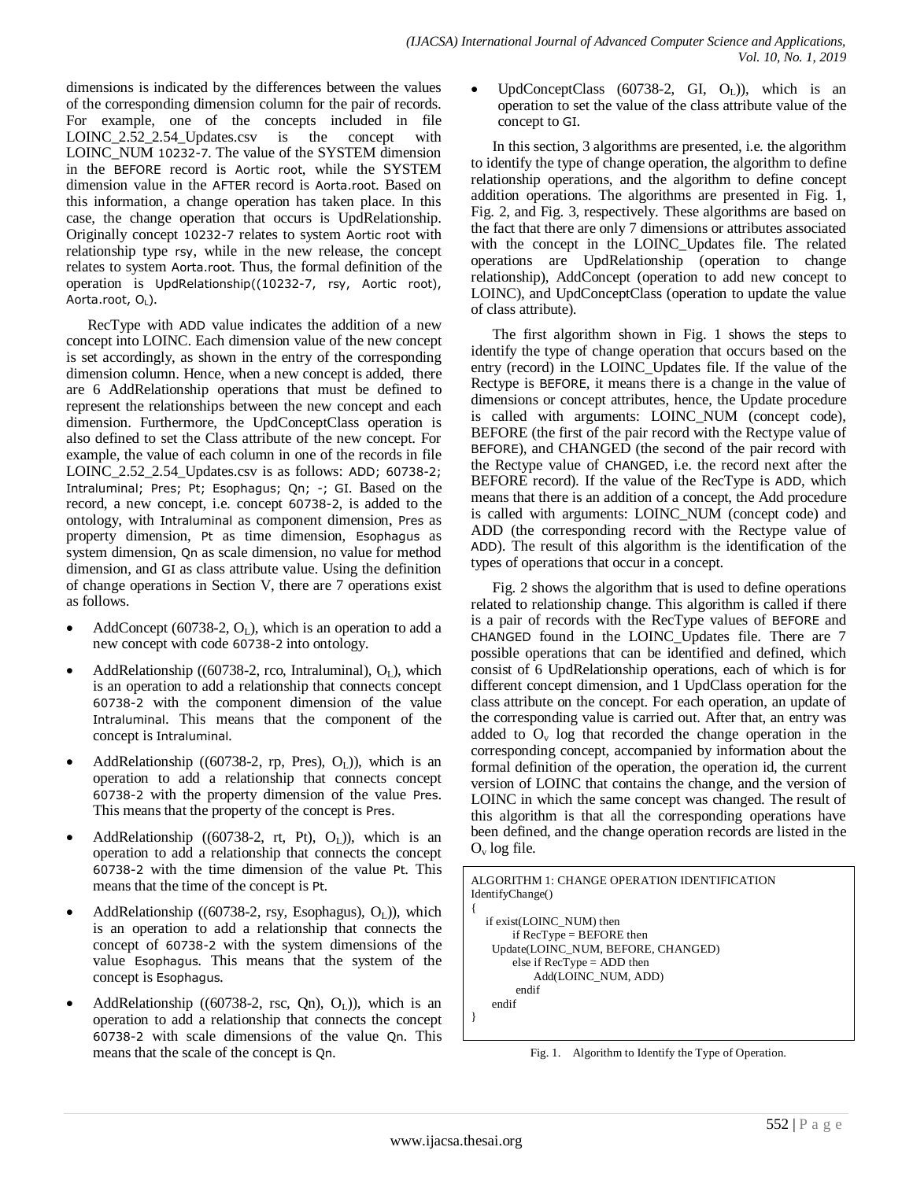dimensions is indicated by the differences between the values of the corresponding dimension column for the pair of records. For example, one of the concepts included in file LOINC\_2.52\_2.54\_Updates.csv is the concept with LOINC\_NUM 10232-7. The value of the SYSTEM dimension in the BEFORE record is Aortic root, while the SYSTEM dimension value in the AFTER record is Aorta.root. Based on this information, a change operation has taken place. In this case, the change operation that occurs is UpdRelationship. Originally concept 10232-7 relates to system Aortic root with relationship type rsy, while in the new release, the concept relates to system Aorta.root. Thus, the formal definition of the operation is UpdRelationship((10232-7, rsy, Aortic root), Aorta.root, OL).

RecType with ADD value indicates the addition of a new concept into LOINC. Each dimension value of the new concept is set accordingly, as shown in the entry of the corresponding dimension column. Hence, when a new concept is added, there are 6 AddRelationship operations that must be defined to represent the relationships between the new concept and each dimension. Furthermore, the UpdConceptClass operation is also defined to set the Class attribute of the new concept. For example, the value of each column in one of the records in file LOINC\_2.52\_2.54\_Updates.csv is as follows: ADD; 60738-2; Intraluminal; Pres; Pt; Esophagus; Qn; -; GI. Based on the record, a new concept, i.e. concept 60738-2, is added to the ontology, with Intraluminal as component dimension, Pres as property dimension, Pt as time dimension, Esophagus as system dimension, Qn as scale dimension, no value for method dimension, and GI as class attribute value. Using the definition of change operations in Section V, there are 7 operations exist as follows.

- AddConcept (60738-2,  $O<sub>L</sub>$ ), which is an operation to add a new concept with code 60738-2 into ontology.
- AddRelationship ((60738-2, rco, Intraluminal),  $O_L$ ), which is an operation to add a relationship that connects concept 60738-2 with the component dimension of the value Intraluminal. This means that the component of the concept is Intraluminal.
- AddRelationship ((60738-2, rp, Pres),  $O_L$ )), which is an operation to add a relationship that connects concept 60738-2 with the property dimension of the value Pres. This means that the property of the concept is Pres.
- AddRelationship ((60738-2, rt, Pt),  $O<sub>L</sub>$ )), which is an operation to add a relationship that connects the concept 60738-2 with the time dimension of the value Pt. This means that the time of the concept is Pt.
- AddRelationship ((60738-2, rsy, Esophagus),  $O<sub>L</sub>$ )), which is an operation to add a relationship that connects the concept of 60738-2 with the system dimensions of the value Esophagus. This means that the system of the concept is Esophagus.
- AddRelationship ((60738-2, rsc, Qn),  $O<sub>L</sub>$ )), which is an operation to add a relationship that connects the concept 60738-2 with scale dimensions of the value Qn. This means that the scale of the concept is Qn.

UpdConceptClass  $(60738-2, \text{GI}, O_L)$ ), which is an operation to set the value of the class attribute value of the concept to GI.

In this section, 3 algorithms are presented, i.e. the algorithm to identify the type of change operation, the algorithm to define relationship operations, and the algorithm to define concept addition operations. The algorithms are presented in Fig. 1, Fig. 2, and Fig. 3, respectively. These algorithms are based on the fact that there are only 7 dimensions or attributes associated with the concept in the LOINC\_Updates file. The related operations are UpdRelationship (operation to change relationship), AddConcept (operation to add new concept to LOINC), and UpdConceptClass (operation to update the value of class attribute).

The first algorithm shown in Fig. 1 shows the steps to identify the type of change operation that occurs based on the entry (record) in the LOINC\_Updates file. If the value of the Rectype is BEFORE, it means there is a change in the value of dimensions or concept attributes, hence, the Update procedure is called with arguments: LOINC\_NUM (concept code), BEFORE (the first of the pair record with the Rectype value of BEFORE), and CHANGED (the second of the pair record with the Rectype value of CHANGED, i.e. the record next after the BEFORE record). If the value of the RecType is ADD, which means that there is an addition of a concept, the Add procedure is called with arguments: LOINC\_NUM (concept code) and ADD (the corresponding record with the Rectype value of ADD). The result of this algorithm is the identification of the types of operations that occur in a concept.

Fig. 2 shows the algorithm that is used to define operations related to relationship change. This algorithm is called if there is a pair of records with the RecType values of BEFORE and CHANGED found in the LOINC\_Updates file. There are 7 possible operations that can be identified and defined, which consist of 6 UpdRelationship operations, each of which is for different concept dimension, and 1 UpdClass operation for the class attribute on the concept. For each operation, an update of the corresponding value is carried out. After that, an entry was added to  $O_v$  log that recorded the change operation in the corresponding concept, accompanied by information about the formal definition of the operation, the operation id, the current version of LOINC that contains the change, and the version of LOINC in which the same concept was changed. The result of this algorithm is that all the corresponding operations have been defined, and the change operation records are listed in the  $O_v$  log file.

```
ALGORITHM 1: CHANGE OPERATION IDENTIFICATION 
IdentifyChange()
{
   if exist(LOINC_NUM) then
        if RecType = BEFORE then 
    Update(LOINC_NUM, BEFORE, CHANGED)
        else if RecType = ADD then
            Add(LOINC_NUM, ADD)
         endif
    endif
}
```
Fig. 1. Algorithm to Identify the Type of Operation.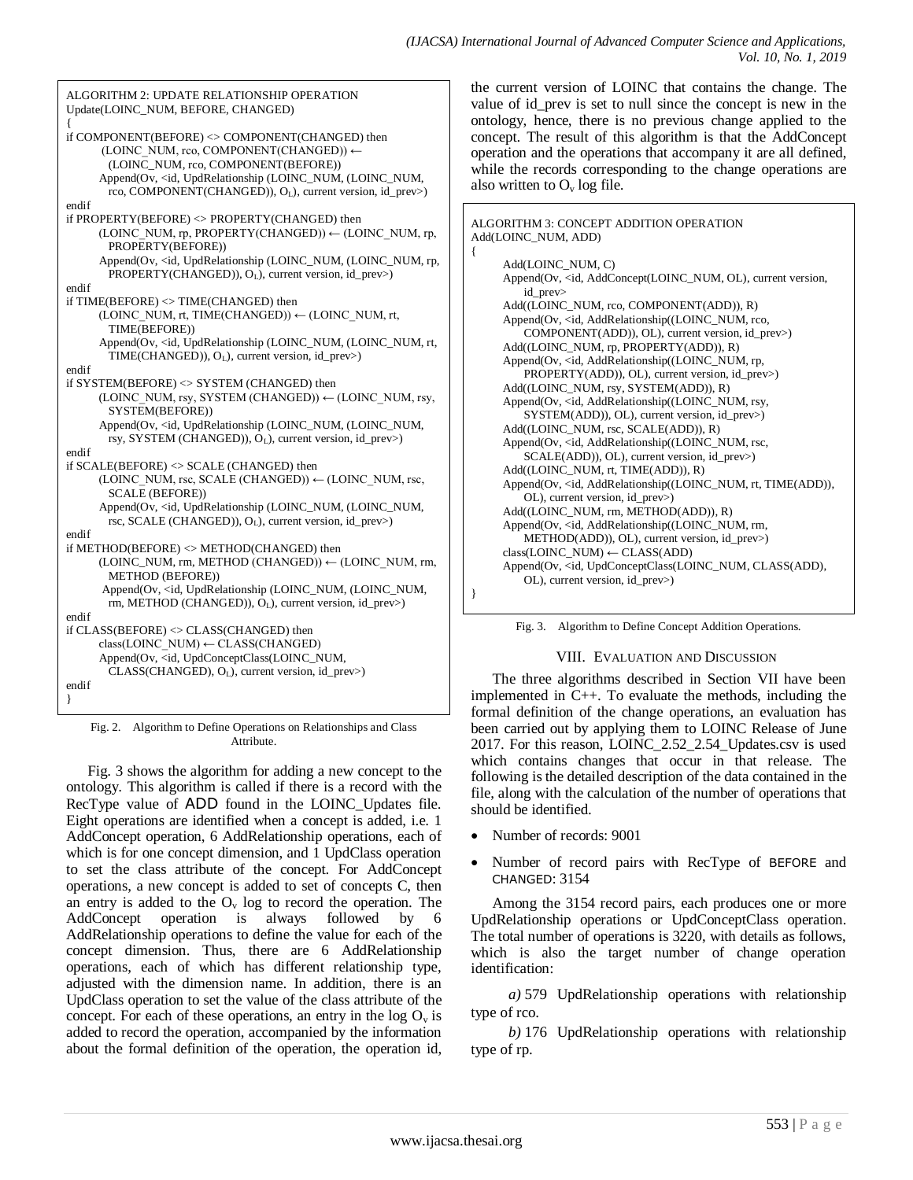{

}

ALGORITHM 2: UPDATE RELATIONSHIP OPERATION Update(LOINC\_NUM, BEFORE, CHANGED) { if COMPONENT(BEFORE) <> COMPONENT(CHANGED) then (LOINC\_NUM, rco, COMPONENT(CHANGED)) ← (LOINC\_NUM, rco, COMPONENT(BEFORE)) Append(Ov, <id, UpdRelationship (LOINC\_NUM, (LOINC\_NUM, rco, COMPONENT(CHANGED)), OL), current version, id\_prev>) endif if PROPERTY(BEFORE) <> PROPERTY(CHANGED) then (LOINC\_NUM, rp, PROPERTY(CHANGED)) ← (LOINC\_NUM, rp, PROPERTY(BEFORE)) Append(Ov, <id, UpdRelationship (LOINC\_NUM, (LOINC\_NUM, rp, PROPERTY(CHANGED)), OL), current version, id\_prev>) endif if TIME(BEFORE) <> TIME(CHANGED) then (LOINC\_NUM, rt, TIME(CHANGED)) ← (LOINC\_NUM, rt, TIME(BEFORE)) Append(Ov, <id, UpdRelationship (LOINC\_NUM, (LOINC\_NUM, rt, TIME(CHANGED)), OL), current version, id\_prev>) endif if SYSTEM(BEFORE) <> SYSTEM (CHANGED) then (LOINC\_NUM, rsy, SYSTEM (CHANGED))  $\leftarrow$  (LOINC\_NUM, rsy, SYSTEM(BEFORE)) Append(Ov, <id, UpdRelationship (LOINC\_NUM, (LOINC\_NUM, rsy, SYSTEM (CHANGED)), OL), current version, id\_prev>) endif if SCALE(BEFORE) <> SCALE (CHANGED) then (LOINC\_NUM, rsc, SCALE (CHANGED))  $\leftarrow$  (LOINC\_NUM, rsc, SCALE (BEFORE)) Append(Ov, <id, UpdRelationship (LOINC\_NUM, (LOINC\_NUM, rsc, SCALE (CHANGED)), O<sub>L</sub>), current version, id\_prev>) endif if METHOD(BEFORE) <> METHOD(CHANGED) then  $(LOINC_NUM, rm, METHOD (CHANGED)) \leftarrow (LOINC_NUM, rm, m)$ METHOD (BEFORE)) Append(Ov, <id, UpdRelationship (LOINC\_NUM, (LOINC\_NUM, rm, METHOD (CHANGED)), O<sub>L</sub>), current version, id\_prev>) endif if CLASS(BEFORE) <> CLASS(CHANGED) then  $class(LOINC NUM) \leftarrow CLASS(CHANGED)$ Append(Ov, <id, UpdConceptClass(LOINC\_NUM, CLASS(CHANGED), O<sub>L</sub>), current version, id\_prev>) endif }

Fig. 2. Algorithm to Define Operations on Relationships and Class Attribute.

Fig. 3 shows the algorithm for adding a new concept to the ontology. This algorithm is called if there is a record with the RecType value of ADD found in the LOINC\_Updates file. Eight operations are identified when a concept is added, i.e. 1 AddConcept operation, 6 AddRelationship operations, each of which is for one concept dimension, and 1 UpdClass operation to set the class attribute of the concept. For AddConcept operations, a new concept is added to set of concepts C, then an entry is added to the  $O_v$  log to record the operation. The AddConcept operation is always followed by 6 AddRelationship operations to define the value for each of the concept dimension. Thus, there are 6 AddRelationship operations, each of which has different relationship type, adjusted with the dimension name. In addition, there is an UpdClass operation to set the value of the class attribute of the concept. For each of these operations, an entry in the log  $O_v$  is added to record the operation, accompanied by the information about the formal definition of the operation, the operation id,

the current version of LOINC that contains the change. The value of id\_prev is set to null since the concept is new in the ontology, hence, there is no previous change applied to the concept. The result of this algorithm is that the AddConcept operation and the operations that accompany it are all defined, while the records corresponding to the change operations are also written to  $O_v$  log file.

```
ALGORITHM 3: CONCEPT ADDITION OPERATION 
Add(LOINC_NUM, ADD)
     Add(LOINC_NUM, C)
     Append(Ov, <id, AddConcept(LOINC_NUM, OL), current version, 
         id_prev>
     Add((LOINC_NUM, rco, COMPONENT(ADD)), R)
     Append(Ov, <id, AddRelationship((LOINC_NUM, rco,
         COMPONENT(ADD)), OL), current version, id_prev>)
     Add((LOINC_NUM, rp, PROPERTY(ADD)), R)
     Append(Ov, <id, AddRelationship((LOINC_NUM, rp, 
         PROPERTY(ADD)), OL), current version, id_prev>)
     Add((LOINC_NUM, rsy, SYSTEM(ADD)), R)
     Append(Ov, <id, AddRelationship((LOINC_NUM, rsy, 
         SYSTEM(ADD)), OL), current version, id_prev>)
     Add((LOINC_NUM, rsc, SCALE(ADD)), R)
     Append(Ov, <id, AddRelationship((LOINC_NUM, rsc, 
         SCALE(ADD)), OL), current version, id_prev>)
     Add((LOINC_NUM, rt, TIME(ADD)), R)
     Append(Ov, <id, AddRelationship((LOINC_NUM, rt, TIME(ADD)), 
         OL), current version, id_prev>)
     Add((LOINC_NUM, rm, METHOD(ADD)), R)
     Append(Ov, <id, AddRelationship((LOINC_NUM, rm, 
         METHOD(ADD)), OL), current version, id_prev>)
     class(LOINC_NUM) ← CLASS(ADD)
     Append(Ov, <id, UpdConceptClass(LOINC_NUM, CLASS(ADD), 
         OL), current version, id_prev>)
```
Fig. 3. Algorithm to Define Concept Addition Operations.

# VIII. EVALUATION AND DISCUSSION

The three algorithms described in Section VII have been implemented in C++. To evaluate the methods, including the formal definition of the change operations, an evaluation has been carried out by applying them to LOINC Release of June 2017. For this reason, LOINC\_2.52\_2.54\_Updates.csv is used which contains changes that occur in that release. The following is the detailed description of the data contained in the file, along with the calculation of the number of operations that should be identified.

- Number of records: 9001
- Number of record pairs with RecType of BEFORE and CHANGED: 3154

Among the 3154 record pairs, each produces one or more UpdRelationship operations or UpdConceptClass operation. The total number of operations is 3220, with details as follows, which is also the target number of change operation identification:

*a)* 579 UpdRelationship operations with relationship type of rco.

*b)* 176 UpdRelationship operations with relationship type of rp.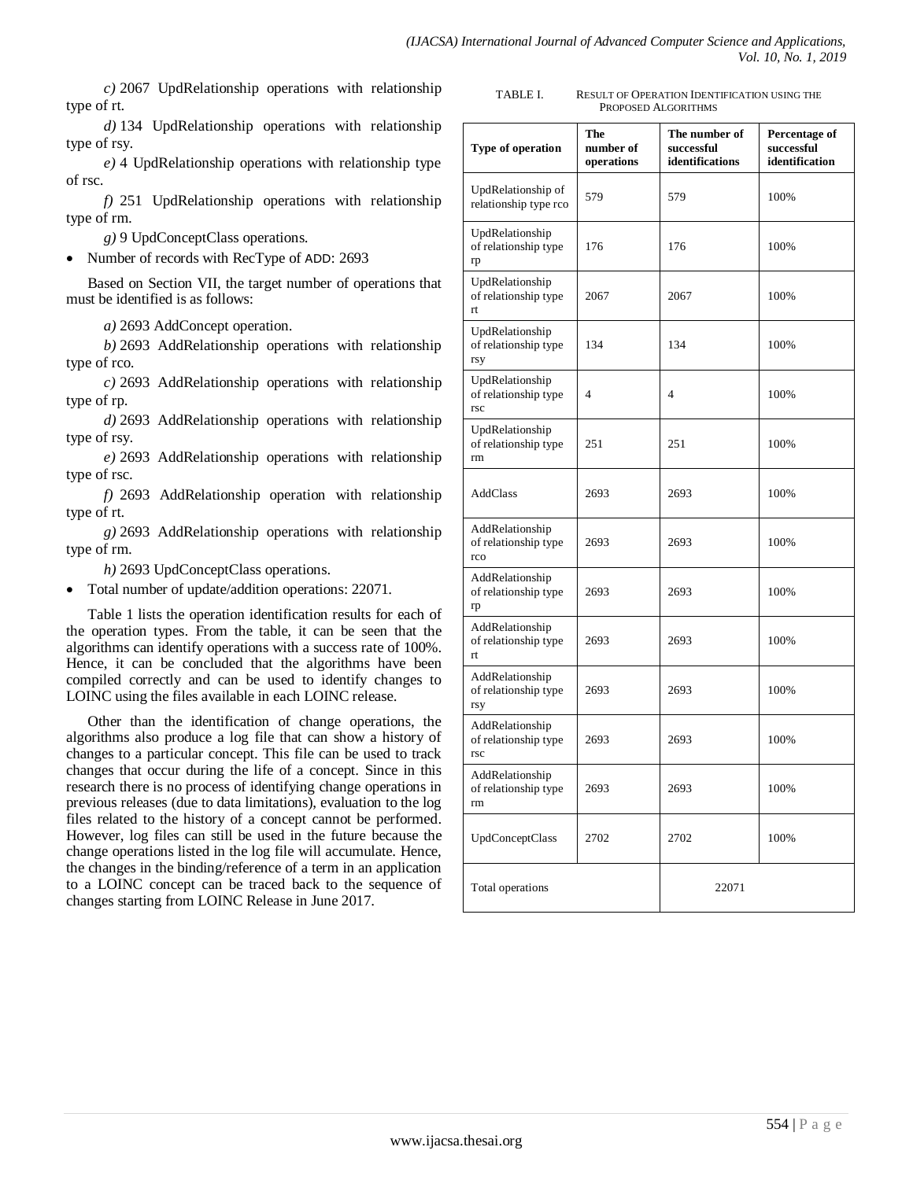*c)* 2067 UpdRelationship operations with relationship type of rt.

*d)* 134 UpdRelationship operations with relationship type of rsy.

*e)* 4 UpdRelationship operations with relationship type of rsc.

*f)* 251 UpdRelationship operations with relationship type of rm.

*g)* 9 UpdConceptClass operations.

Number of records with RecType of ADD: 2693

Based on Section VII, the target number of operations that must be identified is as follows:

*a)* 2693 AddConcept operation.

*b)* 2693 AddRelationship operations with relationship type of rco.

*c)* 2693 AddRelationship operations with relationship type of rp.

*d)* 2693 AddRelationship operations with relationship type of rsy.

*e)* 2693 AddRelationship operations with relationship type of rsc.

*f)* 2693 AddRelationship operation with relationship type of rt.

*g)* 2693 AddRelationship operations with relationship type of rm.

*h)* 2693 UpdConceptClass operations.

• Total number of update/addition operations: 22071.

Table 1 lists the operation identification results for each of the operation types. From the table, it can be seen that the algorithms can identify operations with a success rate of 100%. Hence, it can be concluded that the algorithms have been compiled correctly and can be used to identify changes to LOINC using the files available in each LOINC release.

Other than the identification of change operations, the algorithms also produce a log file that can show a history of changes to a particular concept. This file can be used to track changes that occur during the life of a concept. Since in this research there is no process of identifying change operations in previous releases (due to data limitations), evaluation to the log files related to the history of a concept cannot be performed. However, log files can still be used in the future because the change operations listed in the log file will accumulate. Hence, the changes in the binding/reference of a term in an application to a LOINC concept can be traced back to the sequence of changes starting from LOINC Release in June 2017.

| TABLE I. | <b>RESULT OF OPERATION IDENTIFICATION USING THE</b> |
|----------|-----------------------------------------------------|
|          | PROPOSED ALGORITHMS                                 |

| Type of operation                              | The<br>number of<br>operations | The number of<br>successful<br>identifications | Percentage of<br>successful<br>identification |
|------------------------------------------------|--------------------------------|------------------------------------------------|-----------------------------------------------|
| UpdRelationship of<br>relationship type rco    | 579                            | 579                                            | 100%                                          |
| UpdRelationship<br>of relationship type<br>rp  | 176                            | 176                                            | 100%                                          |
| UpdRelationship<br>of relationship type<br>rt  | 2067                           | 2067                                           | 100%                                          |
| UpdRelationship<br>of relationship type<br>rsy | 134                            | 134                                            | 100%                                          |
| UpdRelationship<br>of relationship type<br>rsc | 4                              | 4                                              | 100%                                          |
| UpdRelationship<br>of relationship type<br>rm  | 251                            | 251                                            | 100%                                          |
| AddClass                                       | 2693                           | 2693                                           | 100%                                          |
| AddRelationship<br>of relationship type<br>rco | 2693                           | 2693                                           | 100%                                          |
| AddRelationship<br>of relationship type<br>rp  | 2693                           | 2693                                           | 100%                                          |
| AddRelationship<br>of relationship type<br>rt  | 2693                           | 2693                                           | 100%                                          |
| AddRelationship<br>of relationship type<br>rsy | 2693                           | 2693                                           | 100%                                          |
| AddRelationship<br>of relationship type<br>rsc | 2693                           | 2693                                           | 100%                                          |
| AddRelationship<br>of relationship type<br>rm  | 2693                           | 2693                                           | 100%                                          |
| UpdConceptClass                                | 2702                           | 2702                                           | 100%                                          |
| Total operations                               |                                | 22071                                          |                                               |